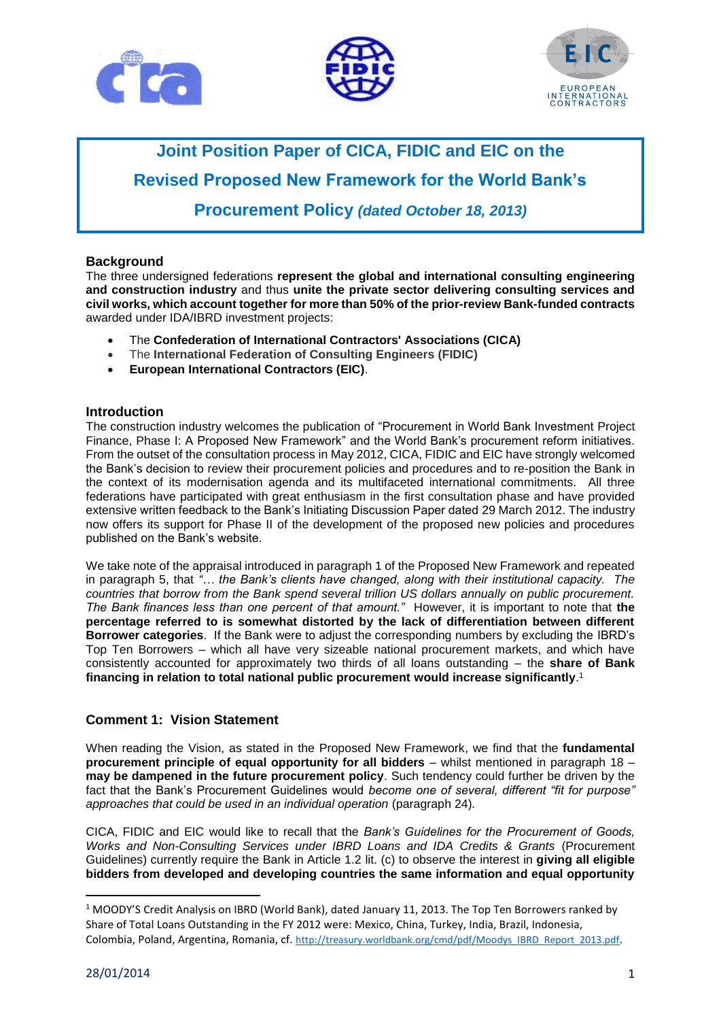





# **Joint Position Paper of CICA, FIDIC and EIC on the Revised Proposed New Framework for the World Bank's Procurement Policy** *(dated October 18, 2013)*

# **Background**

The three undersigned federations **represent the global and international consulting engineering and construction industry** and thus **unite the private sector delivering consulting services and civil works, which account together for more than 50% of the prior-review Bank-funded contracts** awarded under IDA/IBRD investment projects:

- The **Confederation of International Contractors' Associations (CICA)**
- The **International Federation of Consulting Engineers (FIDIC)**
- **European International Contractors (EIC)**.

#### **Introduction**

The construction industry welcomes the publication of "Procurement in World Bank Investment Project Finance, Phase I: A Proposed New Framework" and the World Bank's procurement reform initiatives. From the outset of the consultation process in May 2012, CICA, FIDIC and EIC have strongly welcomed the Bank's decision to review their procurement policies and procedures and to re-position the Bank in the context of its modernisation agenda and its multifaceted international commitments. All three federations have participated with great enthusiasm in the first consultation phase and have provided extensive written feedback to the Bank's Initiating Discussion Paper dated 29 March 2012. The industry now offers its support for Phase II of the development of the proposed new policies and procedures published on the Bank's website.

We take note of the appraisal introduced in paragraph 1 of the Proposed New Framework and repeated in paragraph 5, that *"… the Bank's clients have changed, along with their institutional capacity. The countries that borrow from the Bank spend several trillion US dollars annually on public procurement. The Bank finances less than one percent of that amount."* However, it is important to note that **the percentage referred to is somewhat distorted by the lack of differentiation between different Borrower categories**. If the Bank were to adjust the corresponding numbers by excluding the IBRD's Top Ten Borrowers – which all have very sizeable national procurement markets, and which have consistently accounted for approximately two thirds of all loans outstanding – the **share of Bank financing in relation to total national public procurement would increase significantly**. 1

# **Comment 1: Vision Statement**

When reading the Vision, as stated in the Proposed New Framework, we find that the **fundamental procurement principle of equal opportunity for all bidders** – whilst mentioned in paragraph 18 – **may be dampened in the future procurement policy**. Such tendency could further be driven by the fact that the Bank's Procurement Guidelines would *become one of several, different "fit for purpose" approaches that could be used in an individual operation* (paragraph 24)*.* 

CICA, FIDIC and EIC would like to recall that the *Bank's Guidelines for the Procurement of Goods, Works and Non-Consulting Services under IBRD Loans and IDA Credits & Grants* (Procurement Guidelines) currently require the Bank in Article 1.2 lit. (c) to observe the interest in **giving all eligible bidders from developed and developing countries the same information and equal opportunity** 

 $\overline{\phantom{a}}$ 

<sup>&</sup>lt;sup>1</sup> MOODY'S Credit Analysis on IBRD (World Bank), dated January 11, 2013. The Top Ten Borrowers ranked by Share of Total Loans Outstanding in the FY 2012 were: Mexico, China, Turkey, India, Brazil, Indonesia, Colombia, Poland, Argentina, Romania, cf. [http://treasury.worldbank.org/cmd/pdf/Moodys\\_IBRD\\_Report\\_2013.pdf.](http://treasury.worldbank.org/cmd/pdf/Moodys_IBRD_Report_2013.pdf)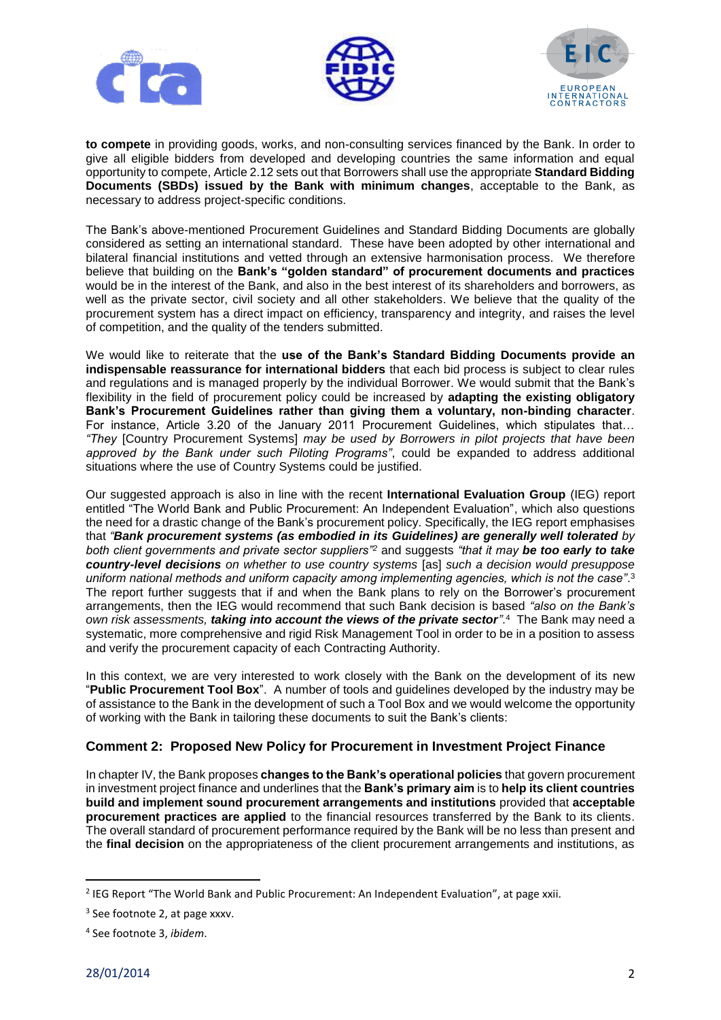





**to compete** in providing goods, works, and non-consulting services financed by the Bank. In order to give all eligible bidders from developed and developing countries the same information and equal opportunity to compete, Article 2.12 sets out that Borrowers shall use the appropriate **Standard Bidding Documents (SBDs) issued by the Bank with minimum changes**, acceptable to the Bank, as necessary to address project-specific conditions.

The Bank's above-mentioned Procurement Guidelines and Standard Bidding Documents are globally considered as setting an international standard. These have been adopted by other international and bilateral financial institutions and vetted through an extensive harmonisation process. We therefore believe that building on the **Bank's "golden standard" of procurement documents and practices** would be in the interest of the Bank, and also in the best interest of its shareholders and borrowers, as well as the private sector, civil society and all other stakeholders. We believe that the quality of the procurement system has a direct impact on efficiency, transparency and integrity, and raises the level of competition, and the quality of the tenders submitted.

We would like to reiterate that the **use of the Bank's Standard Bidding Documents provide an indispensable reassurance for international bidders** that each bid process is subject to clear rules and regulations and is managed properly by the individual Borrower. We would submit that the Bank's flexibility in the field of procurement policy could be increased by **adapting the existing obligatory Bank's Procurement Guidelines rather than giving them a voluntary, non-binding character**. For instance, Article 3.20 of the January 2011 Procurement Guidelines, which stipulates that… *"They* [Country Procurement Systems] *may be used by Borrowers in pilot projects that have been approved by the Bank under such Piloting Programs"*, could be expanded to address additional situations where the use of Country Systems could be justified.

Our suggested approach is also in line with the recent **International Evaluation Group** (IEG) report entitled "The World Bank and Public Procurement: An Independent Evaluation", which also questions the need for a drastic change of the Bank's procurement policy. Specifically, the IEG report emphasises that *"Bank procurement systems (as embodied in its Guidelines) are generally well tolerated by both client governments and private sector suppliers"<sup>2</sup>* and suggests *"that it may be too early to take country-level decisions on whether to use country systems* [as] *such a decision would presuppose uniform national methods and uniform capacity among implementing agencies, which is not the case"*. 3 The report further suggests that if and when the Bank plans to rely on the Borrower's procurement arrangements, then the IEG would recommend that such Bank decision is based *"also on the Bank's own risk assessments, taking into account the views of the private sector"*. <sup>4</sup> The Bank may need a systematic, more comprehensive and rigid Risk Management Tool in order to be in a position to assess and verify the procurement capacity of each Contracting Authority.

In this context, we are very interested to work closely with the Bank on the development of its new "**Public Procurement Tool Box**". A number of tools and guidelines developed by the industry may be of assistance to the Bank in the development of such a Tool Box and we would welcome the opportunity of working with the Bank in tailoring these documents to suit the Bank's clients:

# **Comment 2: Proposed New Policy for Procurement in Investment Project Finance**

In chapter IV, the Bank proposes **changes to the Bank's operational policies** that govern procurement in investment project finance and underlines that the **Bank's primary aim** is to **help its client countries build and implement sound procurement arrangements and institutions** provided that **acceptable procurement practices are applied** to the financial resources transferred by the Bank to its clients. The overall standard of procurement performance required by the Bank will be no less than present and the **final decision** on the appropriateness of the client procurement arrangements and institutions, as

 $\overline{a}$ 

<sup>&</sup>lt;sup>2</sup> IEG Report "The World Bank and Public Procurement: An Independent Evaluation", at page xxii.

<sup>&</sup>lt;sup>3</sup> See footnote 2, at page xxxv.

<sup>4</sup> See footnote 3, *ibidem*.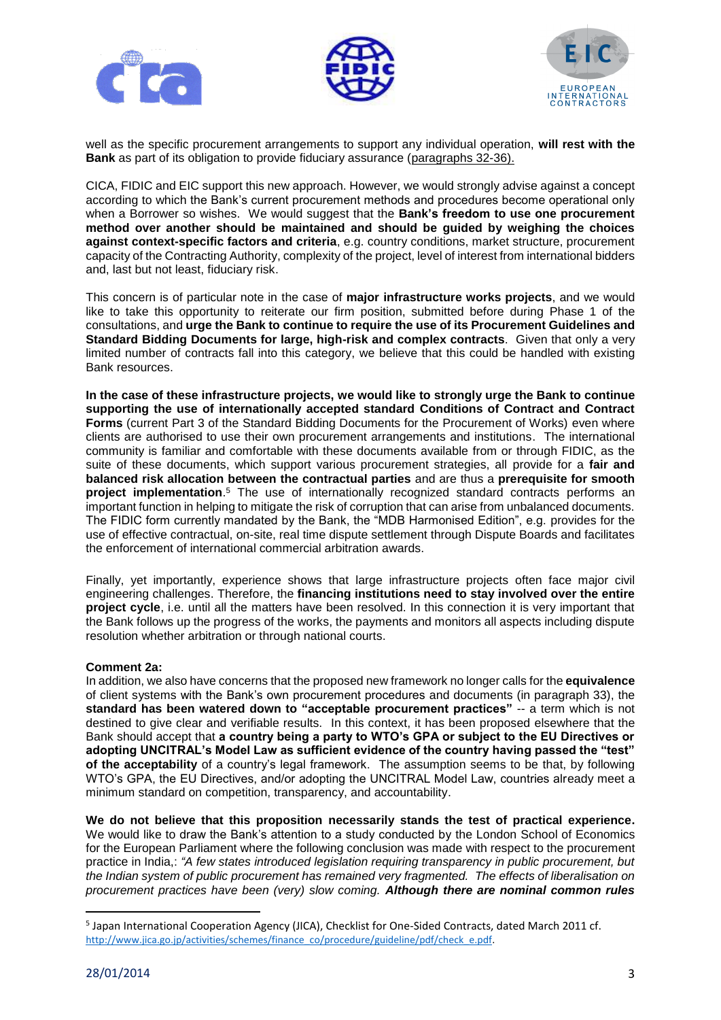





well as the specific procurement arrangements to support any individual operation, **will rest with the Bank** as part of its obligation to provide fiduciary assurance (paragraphs 32-36).

CICA, FIDIC and EIC support this new approach. However, we would strongly advise against a concept according to which the Bank's current procurement methods and procedures become operational only when a Borrower so wishes. We would suggest that the **Bank's freedom to use one procurement method over another should be maintained and should be guided by weighing the choices against context-specific factors and criteria**, e.g. country conditions, market structure, procurement capacity of the Contracting Authority, complexity of the project, level of interest from international bidders and, last but not least, fiduciary risk.

This concern is of particular note in the case of **major infrastructure works projects**, and we would like to take this opportunity to reiterate our firm position, submitted before during Phase 1 of the consultations, and **urge the Bank to continue to require the use of its Procurement Guidelines and Standard Bidding Documents for large, high-risk and complex contracts**. Given that only a very limited number of contracts fall into this category, we believe that this could be handled with existing Bank resources.

**In the case of these infrastructure projects, we would like to strongly urge the Bank to continue supporting the use of internationally accepted standard Conditions of Contract and Contract Forms** (current Part 3 of the Standard Bidding Documents for the Procurement of Works) even where clients are authorised to use their own procurement arrangements and institutions. The international community is familiar and comfortable with these documents available from or through FIDIC, as the suite of these documents, which support various procurement strategies, all provide for a **fair and balanced risk allocation between the contractual parties** and are thus a **prerequisite for smooth project implementation**. <sup>5</sup> The use of internationally recognized standard contracts performs an important function in helping to mitigate the risk of corruption that can arise from unbalanced documents. The FIDIC form currently mandated by the Bank, the "MDB Harmonised Edition", e.g. provides for the use of effective contractual, on-site, real time dispute settlement through Dispute Boards and facilitates the enforcement of international commercial arbitration awards.

Finally, yet importantly, experience shows that large infrastructure projects often face major civil engineering challenges. Therefore, the **financing institutions need to stay involved over the entire project cycle**, i.e. until all the matters have been resolved. In this connection it is very important that the Bank follows up the progress of the works, the payments and monitors all aspects including dispute resolution whether arbitration or through national courts.

#### **Comment 2a:**

In addition, we also have concerns that the proposed new framework no longer calls for the **equivalence** of client systems with the Bank's own procurement procedures and documents (in paragraph 33), the **standard has been watered down to "acceptable procurement practices"** -- a term which is not destined to give clear and verifiable results. In this context, it has been proposed elsewhere that the Bank should accept that **a country being a party to WTO's GPA or subject to the EU Directives or adopting UNCITRAL's Model Law as sufficient evidence of the country having passed the "test" of the acceptability** of a country's legal framework. The assumption seems to be that, by following WTO's GPA, the EU Directives, and/or adopting the UNCITRAL Model Law, countries already meet a minimum standard on competition, transparency, and accountability.

**We do not believe that this proposition necessarily stands the test of practical experience.** We would like to draw the Bank's attention to a study conducted by the London School of Economics for the European Parliament where the following conclusion was made with respect to the procurement practice in India,: *"A few states introduced legislation requiring transparency in public procurement, but the Indian system of public procurement has remained very fragmented. The effects of liberalisation on procurement practices have been (very) slow coming. Although there are nominal common rules* 

 $\overline{\phantom{a}}$ 

<sup>&</sup>lt;sup>5</sup> Japan International Cooperation Agency (JICA), Checklist for One-Sided Contracts, dated March 2011 cf. [http://www.jica.go.jp/activities/schemes/finance\\_co/procedure/guideline/pdf/check\\_e.pdf.](http://www.jica.go.jp/activities/schemes/finance_co/procedure/guideline/pdf/check_e.pdf)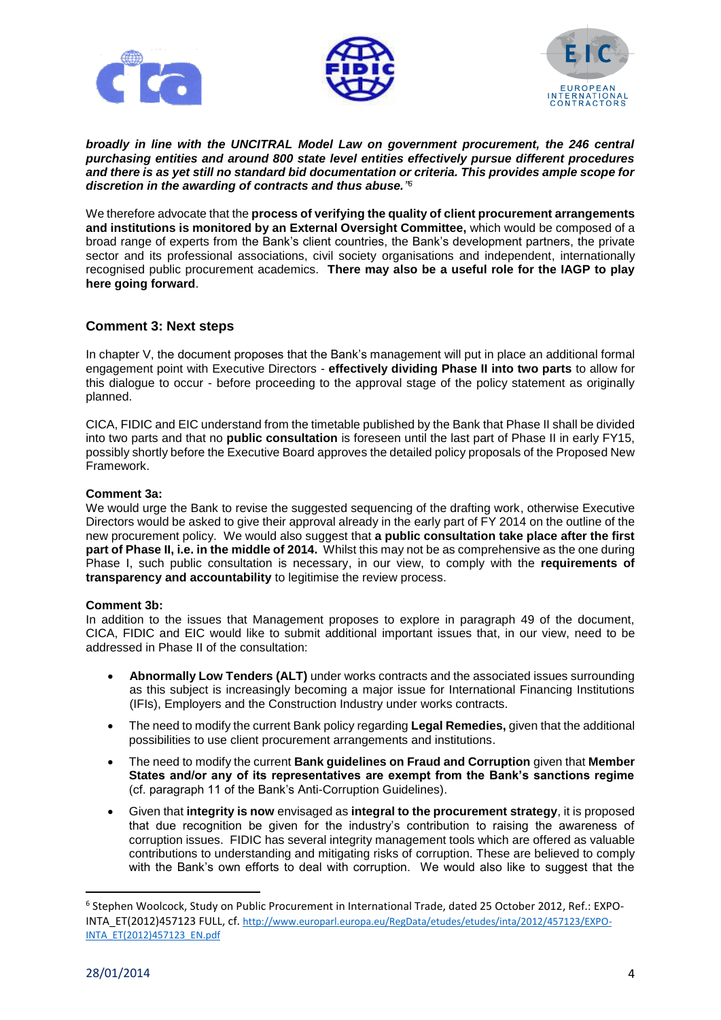





*broadly in line with the UNCITRAL Model Law on government procurement, the 246 central purchasing entities and around 800 state level entities effectively pursue different procedures and there is as yet still no standard bid documentation or criteria. This provides ample scope for discretion in the awarding of contracts and thus abuse." 6*

We therefore advocate that the **process of verifying the quality of client procurement arrangements and institutions is monitored by an External Oversight Committee,** which would be composed of a broad range of experts from the Bank's client countries, the Bank's development partners, the private sector and its professional associations, civil society organisations and independent, internationally recognised public procurement academics. **There may also be a useful role for the IAGP to play here going forward**.

### **Comment 3: Next steps**

In chapter V, the document proposes that the Bank's management will put in place an additional formal engagement point with Executive Directors - **effectively dividing Phase II into two parts** to allow for this dialogue to occur - before proceeding to the approval stage of the policy statement as originally planned.

CICA, FIDIC and EIC understand from the timetable published by the Bank that Phase II shall be divided into two parts and that no **public consultation** is foreseen until the last part of Phase II in early FY15, possibly shortly before the Executive Board approves the detailed policy proposals of the Proposed New Framework.

#### **Comment 3a:**

We would urge the Bank to revise the suggested sequencing of the drafting work, otherwise Executive Directors would be asked to give their approval already in the early part of FY 2014 on the outline of the new procurement policy. We would also suggest that **a public consultation take place after the first part of Phase II, i.e. in the middle of 2014.** Whilst this may not be as comprehensive as the one during Phase I, such public consultation is necessary, in our view, to comply with the **requirements of transparency and accountability** to legitimise the review process.

#### **Comment 3b:**

In addition to the issues that Management proposes to explore in paragraph 49 of the document, CICA, FIDIC and EIC would like to submit additional important issues that, in our view, need to be addressed in Phase II of the consultation:

- **Abnormally Low Tenders (ALT)** under works contracts and the associated issues surrounding as this subject is increasingly becoming a major issue for International Financing Institutions (IFIs), Employers and the Construction Industry under works contracts.
- The need to modify the current Bank policy regarding **Legal Remedies,** given that the additional possibilities to use client procurement arrangements and institutions.
- The need to modify the current **Bank guidelines on Fraud and Corruption** given that **Member States and/or any of its representatives are exempt from the Bank's sanctions regime** (cf. paragraph 11 of the Bank's Anti-Corruption Guidelines).
- Given that **integrity is now** envisaged as **integral to the procurement strategy**, it is proposed that due recognition be given for the industry's contribution to raising the awareness of corruption issues. FIDIC has several integrity management tools which are offered as valuable contributions to understanding and mitigating risks of corruption. These are believed to comply with the Bank's own efforts to deal with corruption. We would also like to suggest that the

l

<sup>6</sup> Stephen Woolcock, Study on Public Procurement in International Trade, dated 25 October 2012, Ref.: EXPO-INTA\_ET(2012)457123 FULL, cf. [http://www.europarl.europa.eu/RegData/etudes/etudes/inta/2012/457123/EXPO-](http://www.europarl.europa.eu/RegData/etudes/etudes/inta/2012/457123/EXPO-INTA_ET(2012)457123_EN.pdf)[INTA\\_ET\(2012\)457123\\_EN.pdf](http://www.europarl.europa.eu/RegData/etudes/etudes/inta/2012/457123/EXPO-INTA_ET(2012)457123_EN.pdf)